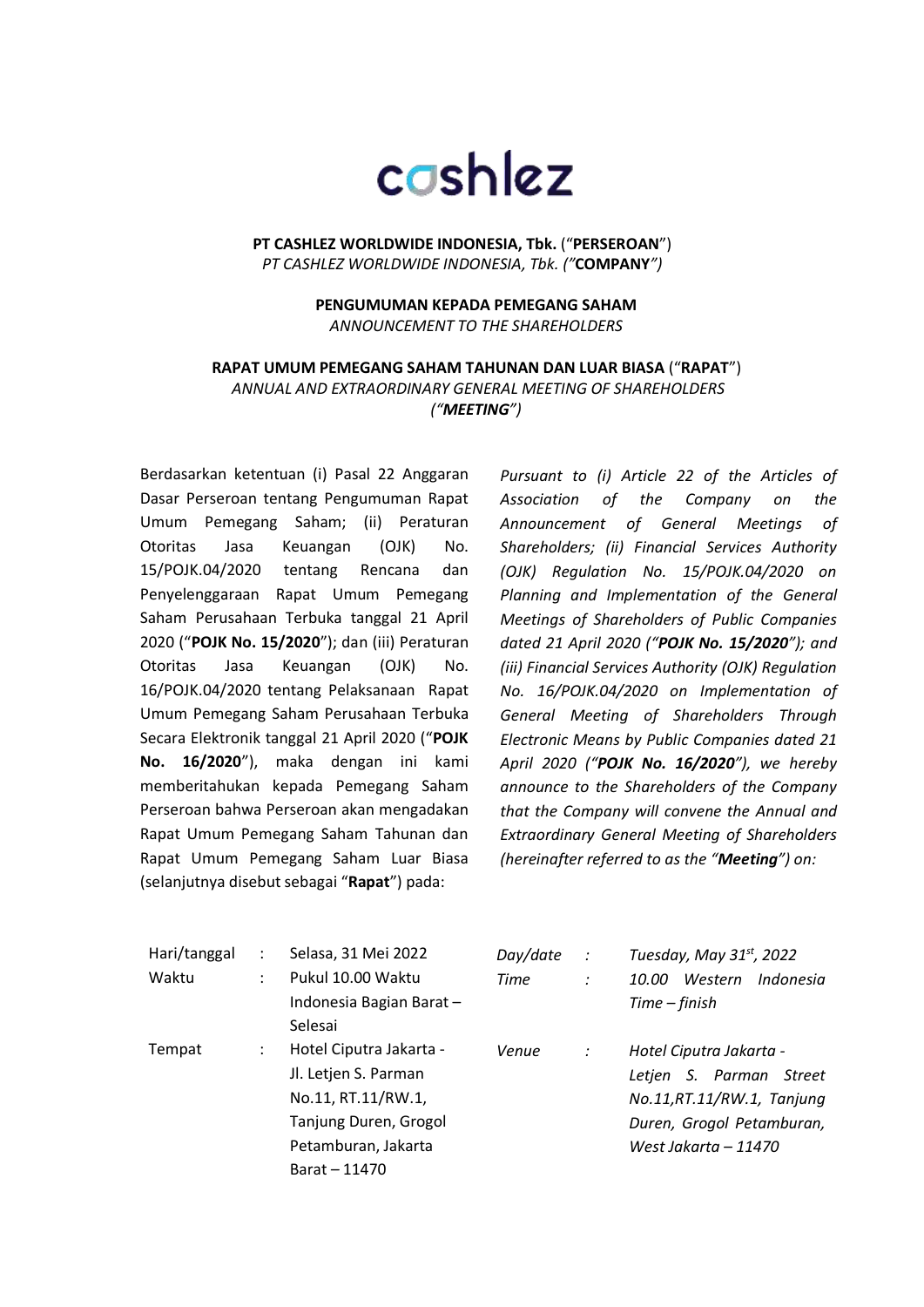## cashlez

**PT CASHLEZ WORLDWIDE INDONESIA, Tbk.** ("**PERSEROAN**") *PT CASHLEZ WORLDWIDE INDONESIA, Tbk. ("***COMPANY***")*

> **PENGUMUMAN KEPADA PEMEGANG SAHAM** *ANNOUNCEMENT TO THE SHAREHOLDERS*

**RAPAT UMUM PEMEGANG SAHAM TAHUNAN DAN LUAR BIASA** ("**RAPAT**") *ANNUAL AND EXTRAORDINARY GENERAL MEETING OF SHAREHOLDERS ("MEETING")*

Berdasarkan ketentuan (i) Pasal 22 Anggaran Dasar Perseroan tentang Pengumuman Rapat Umum Pemegang Saham; (ii) Peraturan Otoritas Jasa Keuangan (OJK) No. 15/POJK.04/2020 tentang Rencana dan Penyelenggaraan Rapat Umum Pemegang Saham Perusahaan Terbuka tanggal 21 April 2020 ("**POJK No. 15/2020**"); dan (iii) Peraturan Otoritas Jasa Keuangan (OJK) No. 16/POJK.04/2020 tentang Pelaksanaan Rapat Umum Pemegang Saham Perusahaan Terbuka Secara Elektronik tanggal 21 April 2020 ("**POJK No. 16/2020**"), maka dengan ini kami memberitahukan kepada Pemegang Saham Perseroan bahwa Perseroan akan mengadakan Rapat Umum Pemegang Saham Tahunan dan Rapat Umum Pemegang Saham Luar Biasa (selanjutnya disebut sebagai "**Rapat**") pada:

*Pursuant to (i) Article 22 of the Articles of Association of the Company on the Announcement of General Meetings of Shareholders; (ii) Financial Services Authority (OJK) Regulation No. 15/POJK.04/2020 on Planning and Implementation of the General Meetings of Shareholders of Public Companies dated 21 April 2020 ("POJK No. 15/2020"); and (iii) Financial Services Authority (OJK) Regulation No. 16/POJK.04/2020 on Implementation of General Meeting of Shareholders Through Electronic Means by Public Companies dated 21 April 2020 ("POJK No. 16/2020"), we hereby announce to the Shareholders of the Company that the Company will convene the Annual and Extraordinary General Meeting of Shareholders (hereinafter referred to as the "Meeting") on:*

| Hari/tanggal |   | Selasa, 31 Mei 2022     | Day/date | $\cdot$ :      | Tuesday, May 31 <sup>st</sup> , 2022 |
|--------------|---|-------------------------|----------|----------------|--------------------------------------|
| Waktu        | ÷ | Pukul 10.00 Waktu       | Time     | $\ddot{\cdot}$ | Western<br>Indonesia<br>10.00        |
|              |   | Indonesia Bagian Barat- |          |                | Time – finish                        |
|              |   | Selesai                 |          |                |                                      |
| Tempat       |   | Hotel Ciputra Jakarta - | Venue    | $\therefore$   | Hotel Ciputra Jakarta -              |
|              |   | Jl. Letjen S. Parman    |          |                | Letjen S. Parman Street              |
|              |   | No.11, RT.11/RW.1,      |          |                | No.11,RT.11/RW.1, Tanjung            |
|              |   | Tanjung Duren, Grogol   |          |                | Duren, Grogol Petamburan,            |
|              |   | Petamburan, Jakarta     |          |                | West Jakarta - 11470                 |
|              |   | Barat - 11470           |          |                |                                      |
|              |   |                         |          |                |                                      |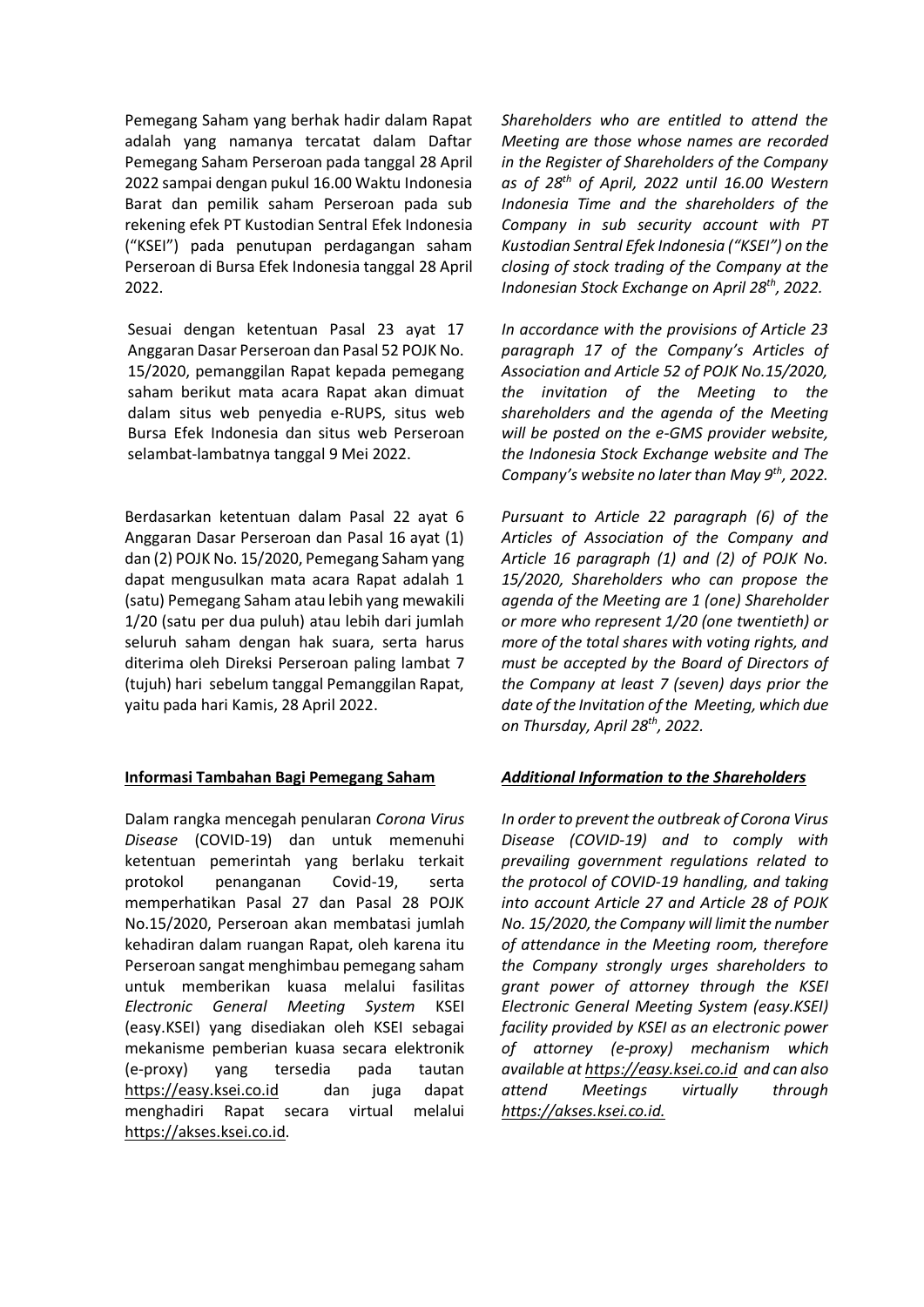Pemegang Saham yang berhak hadir dalam Rapat adalah yang namanya tercatat dalam Daftar Pemegang Saham Perseroan pada tanggal 28 April 2022 sampai dengan pukul 16.00 Waktu Indonesia Barat dan pemilik saham Perseroan pada sub rekening efek PT Kustodian Sentral Efek Indonesia ("KSEI") pada penutupan perdagangan saham Perseroan di Bursa Efek Indonesia tanggal 28 April 2022.

Sesuai dengan ketentuan Pasal 23 ayat 17 Anggaran Dasar Perseroan dan Pasal 52 POJK No. 15/2020, pemanggilan Rapat kepada pemegang saham berikut mata acara Rapat akan dimuat dalam situs web penyedia e-RUPS, situs web Bursa Efek Indonesia dan situs web Perseroan selambat-lambatnya tanggal 9 Mei 2022.

Berdasarkan ketentuan dalam Pasal 22 ayat 6 Anggaran Dasar Perseroan dan Pasal 16 ayat (1) dan (2) POJK No. 15/2020, Pemegang Saham yang dapat mengusulkan mata acara Rapat adalah 1 (satu) Pemegang Saham atau lebih yang mewakili 1/20 (satu per dua puluh) atau lebih dari jumlah seluruh saham dengan hak suara, serta harus diterima oleh Direksi Perseroan paling lambat 7 (tujuh) hari sebelum tanggal Pemanggilan Rapat, yaitu pada hari Kamis, 28 April 2022.

## **Informasi Tambahan Bagi Pemegang Saham**

Dalam rangka mencegah penularan *Corona Virus Disease* (COVID-19) dan untuk memenuhi ketentuan pemerintah yang berlaku terkait protokol penanganan Covid-19, serta memperhatikan Pasal 27 dan Pasal 28 POJK No.15/2020, Perseroan akan membatasi jumlah kehadiran dalam ruangan Rapat, oleh karena itu Perseroan sangat menghimbau pemegang saham untuk memberikan kuasa melalui fasilitas *Electronic General Meeting System* KSEI (easy.KSEI) yang disediakan oleh KSEI sebagai mekanisme pemberian kuasa secara elektronik (e-proxy) yang tersedia pada tautan https://easy.ksei.co.id dan juga dapat menghadiri Rapat secara virtual melalui https://akses.ksei.co.id.

*Shareholders who are entitled to attend the Meeting are those whose names are recorded in the Register of Shareholders of the Company as of 28th of April, 2022 until 16.00 Western Indonesia Time and the shareholders of the Company in sub security account with PT Kustodian Sentral Efek Indonesia ("KSEI") on the closing of stock trading of the Company at the Indonesian Stock Exchange on April 28th, 2022.*

*In accordance with the provisions of Article 23 paragraph 17 of the Company's Articles of Association and Article 52 of POJK No.15/2020, the invitation of the Meeting to the shareholders and the agenda of the Meeting will be posted on the e-GMS provider website, the Indonesia Stock Exchange website and The Company's website no later than May 9th, 2022.*

*Pursuant to Article 22 paragraph (6) of the Articles of Association of the Company and Article 16 paragraph (1) and (2) of POJK No. 15/2020, Shareholders who can propose the agenda of the Meeting are 1 (one) Shareholder or more who represent 1/20 (one twentieth) or more of the total shares with voting rights, and must be accepted by the Board of Directors of the Company at least 7 (seven) days prior the date of the Invitation of the Meeting, which due on Thursday, April 28th, 2022.*

## *Additional Information to the Shareholders*

*In order to prevent the outbreak of Corona Virus Disease (COVID-19) and to comply with prevailing government regulations related to the protocol of COVID-19 handling, and taking into account Article 27 and Article 28 of POJK No. 15/2020, the Company will limit the number of attendance in the Meeting room, therefore the Company strongly urges shareholders to grant power of attorney through the KSEI Electronic General Meeting System (easy.KSEI) facility provided by KSEI as an electronic power of attorney (e-proxy) mechanism which available at https://easy.ksei.co.id and can also attend Meetings virtually through https://akses.ksei.co.id.*